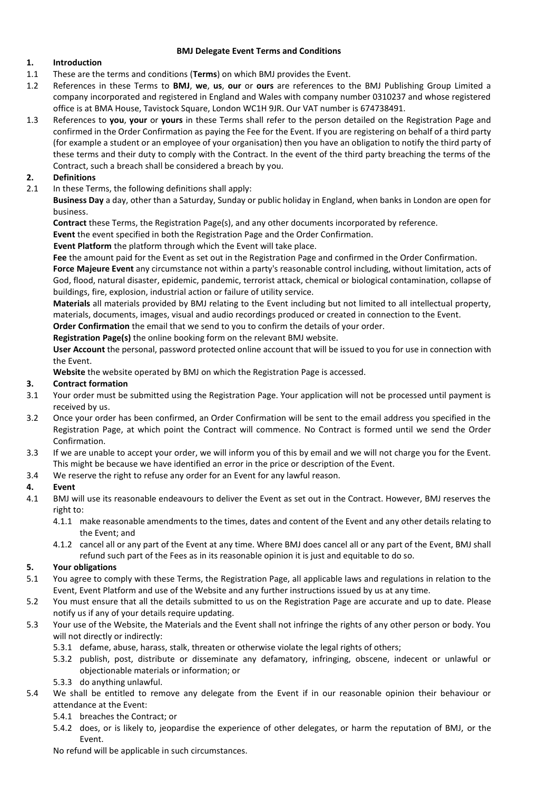#### **BMJ Delegate Event Terms and Conditions**

# **1. Introduction**

- 1.1 These are the terms and conditions (**Terms**) on which BMJ provides the Event.
- 1.2 References in these Terms to **BMJ**, **we**, **us**, **our** or **ours** are references to the BMJ Publishing Group Limited a company incorporated and registered in England and Wales with company number 0310237 and whose registered office is at BMA House, Tavistock Square, London WC1H 9JR. Our VAT number is 674738491.
- 1.3 References to **you**, **your** or **yours** in these Terms shall refer to the person detailed on the Registration Page and confirmed in the Order Confirmation as paying the Fee for the Event. If you are registering on behalf of a third party (for example a student or an employee of your organisation) then you have an obligation to notify the third party of these terms and their duty to comply with the Contract. In the event of the third party breaching the terms of the Contract, such a breach shall be considered a breach by you.

# **2. Definitions**

2.1 In these Terms, the following definitions shall apply:

**Business Day** a day, other than a Saturday, Sunday or public holiday in England, when banks in London are open for business.

**Contract** these Terms, the Registration Page(s), and any other documents incorporated by reference.

**Event** the event specified in both the Registration Page and the Order Confirmation.

**Event Platform** the platform through which the Event will take place.

**Fee** the amount paid for the Event as set out in the Registration Page and confirmed in the Order Confirmation.

**Force Majeure Event** any circumstance not within a party's reasonable control including, without limitation, acts of God, flood, natural disaster, epidemic, pandemic, terrorist attack, chemical or biological contamination, collapse of buildings, fire, explosion, industrial action or failure of utility service.

**Materials** all materials provided by BMJ relating to the Event including but not limited to all intellectual property, materials, documents, images, visual and audio recordings produced or created in connection to the Event.

**Order Confirmation** the email that we send to you to confirm the details of your order.

**Registration Page(s)** the online booking form on the relevant BMJ website.

**User Account** the personal, password protected online account that will be issued to you for use in connection with the Event.

**Website** the website operated by BMJ on which the Registration Page is accessed.

## **3. Contract formation**

- 3.1 Your order must be submitted using the Registration Page. Your application will not be processed until payment is received by us.
- 3.2 Once your order has been confirmed, an Order Confirmation will be sent to the email address you specified in the Registration Page, at which point the Contract will commence. No Contract is formed until we send the Order Confirmation.
- 3.3 If we are unable to accept your order, we will inform you of this by email and we will not charge you for the Event. This might be because we have identified an error in the price or description of the Event.
- 3.4 We reserve the right to refuse any order for an Event for any lawful reason.

## **4. Event**

- 4.1 BMJ will use its reasonable endeavours to deliver the Event as set out in the Contract. However, BMJ reserves the right to:
	- 4.1.1 make reasonable amendments to the times, dates and content of the Event and any other details relating to the Event; and
	- 4.1.2 cancel all or any part of the Event at any time. Where BMJ does cancel all or any part of the Event, BMJ shall refund such part of the Fees as in its reasonable opinion it is just and equitable to do so.

## **5. Your obligations**

- 5.1 You agree to comply with these Terms, the Registration Page, all applicable laws and regulations in relation to the Event, Event Platform and use of the Website and any further instructions issued by us at any time.
- 5.2 You must ensure that all the details submitted to us on the Registration Page are accurate and up to date. Please notify us if any of your details require updating.
- 5.3 Your use of the Website, the Materials and the Event shall not infringe the rights of any other person or body. You will not directly or indirectly:
	- 5.3.1 defame, abuse, harass, stalk, threaten or otherwise violate the legal rights of others;
	- 5.3.2 publish, post, distribute or disseminate any defamatory, infringing, obscene, indecent or unlawful or objectionable materials or information; or
	- 5.3.3 do anything unlawful.
- 5.4 We shall be entitled to remove any delegate from the Event if in our reasonable opinion their behaviour or attendance at the Event:
	- 5.4.1 breaches the Contract; or
	- 5.4.2 does, or is likely to, jeopardise the experience of other delegates, or harm the reputation of BMJ, or the Event.

No refund will be applicable in such circumstances.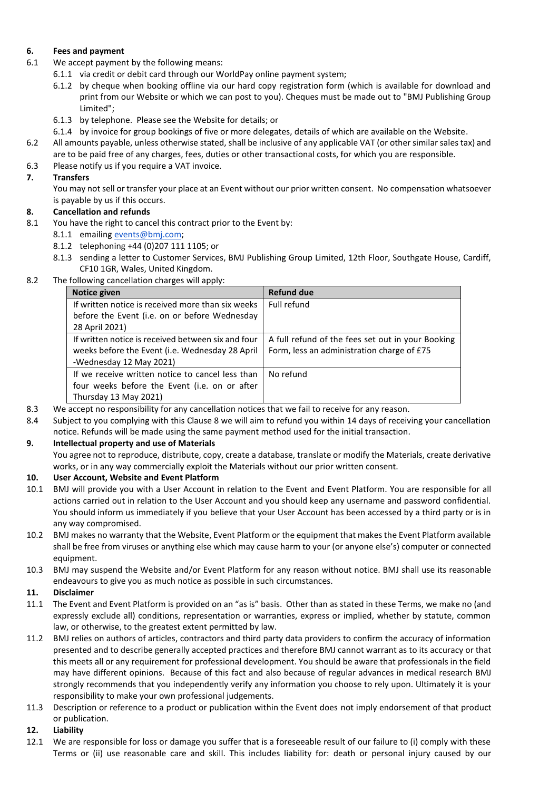# **6. Fees and payment**

- 6.1 We accept payment by the following means:
	- 6.1.1 via credit or debit card through our WorldPay online payment system;
		- 6.1.2 by cheque when booking offline via our hard copy registration form (which is available for download and print from our Website or which we can post to you). Cheques must be made out to "BMJ Publishing Group Limited";
		- 6.1.3 by telephone. Please see the Website for details; or
	- 6.1.4 by invoice for group bookings of five or more delegates, details of which are available on the Website.
- 6.2 All amounts payable, unless otherwise stated, shall be inclusive of any applicable VAT (or other similar sales tax) and are to be paid free of any charges, fees, duties or other transactional costs, for which you are responsible.
- 6.3 Please notify us if you require a VAT invoice.

# **7. Transfers**

You may not sell or transfer your place at an Event without our prior written consent. No compensation whatsoever is payable by us if this occurs.

# **8. Cancellation and refunds**

- 8.1 You have the right to cancel this contract prior to the Event by:
	- 8.1.1 emailing [events@bmj.com;](mailto:events@bmj.com)
	- 8.1.2 telephoning +44 (0)207 111 1105; or
	- 8.1.3 sending a letter to Customer Services, BMJ Publishing Group Limited, 12th Floor, Southgate House, Cardiff, CF10 1GR, Wales, United Kingdom.
- 8.2 The following cancellation charges will apply:

| Notice given                                       | <b>Refund due</b>                                 |
|----------------------------------------------------|---------------------------------------------------|
| If written notice is received more than six weeks  | Full refund                                       |
| before the Event (i.e. on or before Wednesday      |                                                   |
| 28 April 2021)                                     |                                                   |
| If written notice is received between six and four | A full refund of the fees set out in your Booking |
| weeks before the Event (i.e. Wednesday 28 April    | Form, less an administration charge of £75        |
| -Wednesday 12 May 2021)                            |                                                   |
| If we receive written notice to cancel less than   | No refund                                         |
| four weeks before the Event (i.e. on or after      |                                                   |
| Thursday 13 May 2021)                              |                                                   |

- 8.3 We accept no responsibility for any cancellation notices that we fail to receive for any reason.
- 8.4 Subject to you complying with this Clause 8 we will aim to refund you within 14 days of receiving your cancellation notice. Refunds will be made using the same payment method used for the initial transaction.

## **9. Intellectual property and use of Materials**

You agree not to reproduce, distribute, copy, create a database, translate or modify the Materials, create derivative works, or in any way commercially exploit the Materials without our prior written consent.

# **10. User Account, Website and Event Platform**

- 10.1 BMJ will provide you with a User Account in relation to the Event and Event Platform. You are responsible for all actions carried out in relation to the User Account and you should keep any username and password confidential. You should inform us immediately if you believe that your User Account has been accessed by a third party or is in any way compromised.
- 10.2 BMJ makes no warranty that the Website, Event Platform or the equipment that makes the Event Platform available shall be free from viruses or anything else which may cause harm to your (or anyone else's) computer or connected equipment.
- 10.3 BMJ may suspend the Website and/or Event Platform for any reason without notice. BMJ shall use its reasonable endeavours to give you as much notice as possible in such circumstances.

## **11. Disclaimer**

- 11.1 The Event and Event Platform is provided on an "as is" basis. Other than as stated in these Terms, we make no (and expressly exclude all) conditions, representation or warranties, express or implied, whether by statute, common law, or otherwise, to the greatest extent permitted by law.
- 11.2 BMJ relies on authors of articles, contractors and third party data providers to confirm the accuracy of information presented and to describe generally accepted practices and therefore BMJ cannot warrant as to its accuracy or that this meets all or any requirement for professional development. You should be aware that professionals in the field may have different opinions. Because of this fact and also because of regular advances in medical research BMJ strongly recommends that you independently verify any information you choose to rely upon. Ultimately it is your responsibility to make your own professional judgements.
- 11.3 Description or reference to a product or publication within the Event does not imply endorsement of that product or publication.

#### **12. Liability**

12.1 We are responsible for loss or damage you suffer that is a foreseeable result of our failure to (i) comply with these Terms or (ii) use reasonable care and skill. This includes liability for: death or personal injury caused by our